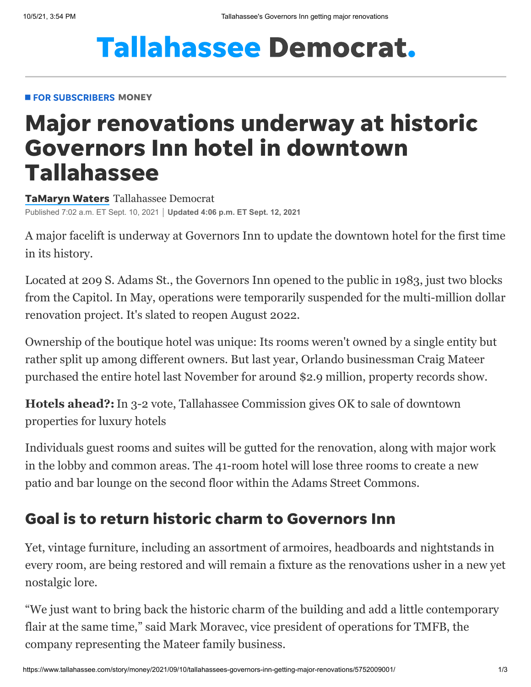# **Tallahassee Democrat.**

#### **FOR SUBSCRIBERS MONEY**

## Major renovations underway at historic Governors Inn hotel in downtown Tallahassee

[TaMaryn](https://www.tallahassee.com/staff/4395308002/tamaryn-waters/) Waters Tallahassee Democrat Published 7:02 a.m. ET Sept. 10, 2021 **Updated 4:06 p.m. ET Sept. 12, 2021**

A major facelift is underway at Governors Inn to update the downtown hotel for the first time in its history.

Located at 209 S. Adams St., the Governors Inn opened to the public in 1983, just two blocks from the Capitol. In May, operations were temporarily suspended for the multi-million dollar renovation project. It's slated to reopen August 2022.

Ownership of the boutique hotel was unique: Its rooms weren't owned by a single entity but rather split up among different owners. But last year, Orlando businessman Craig Mateer purchased the entire hotel last November for around \$2.9 million, property records show.

**Hotels ahead?:**[In 3-2 vote, Tallahassee Commission gives OK to sale of downtown](https://www.tallahassee.com/story/news/2021/07/08/tallahassee-city-commission-valencia-hotel-group-luxury-hotels-courts-downtown-luxury/7900707002/) properties for luxury hotels

Individuals guest rooms and suites will be gutted for the renovation, along with major work in the lobby and common areas. The 41-room hotel will lose three rooms to create a new patio and bar lounge on the second floor within the Adams Street Commons.

### Goal is to return historic charm to Governors Inn

Yet, vintage furniture, including an assortment of armoires, headboards and nightstands in every room, are being restored and will remain a fixture as the renovations usher in a new yet nostalgic lore.

"We just want to bring back the historic charm of the building and add a little contemporary flair at the same time," said Mark Moravec, vice president of operations for TMFB, the company representing the Mateer family business.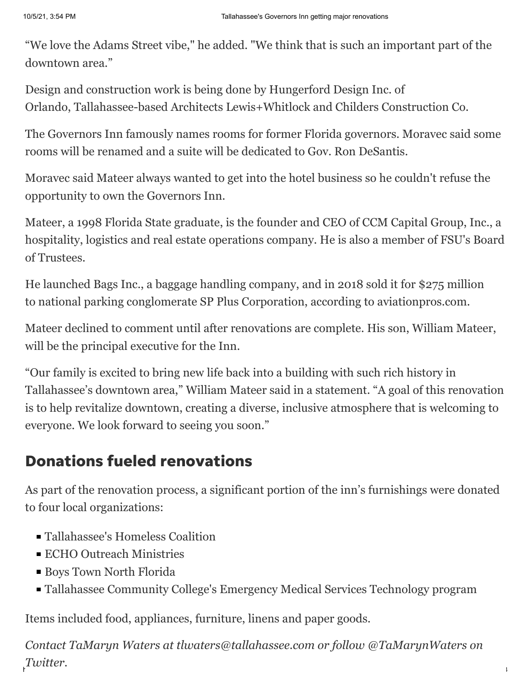"We love the Adams Street vibe," he added. "We think that is such an important part of the downtown area."

Design and construction work is being done by Hungerford Design Inc. of Orlando, Tallahassee-based Architects Lewis+Whitlock and Childers Construction Co.

The Governors Inn famously names rooms for former Florida governors. Moravec said some rooms will be renamed and a suite will be dedicated to Gov. Ron DeSantis.

Moravec said Mateer always wanted to get into the hotel business so he couldn't refuse the opportunity to own the Governors Inn.

Mateer, a 1998 Florida State graduate, is the founder and CEO of CCM Capital Group, Inc., a hospitality, logistics and real estate operations company. He is also a member of FSU's Board of Trustees.

He launched Bags Inc., a baggage handling company, and in 2018 sold it for \$275 million to national parking conglomerate SP Plus Corporation, according to aviationpros.com.

Mateer declined to comment until after renovations are complete. His son, William Mateer, will be the principal executive for the Inn.

"Our family is excited to bring new life back into a building with such rich history in Tallahassee's downtown area," William Mateer said in a statement. "A goal of this renovation is to help revitalize downtown, creating a diverse, inclusive atmosphere that is welcoming to everyone. We look forward to seeing you soon."

### Donations fueled renovations

As part of the renovation process, a significant portion of the inn's furnishings were donated to four local organizations:

- Tallahassee's Homeless Coalition
- **ECHO Outreach Ministries**
- Boys Town North Florida
- Tallahassee Community College's Emergency Medical Services Technology program

Items included food, appliances, furniture, linens and paper goods.

https://www.tallahassee.com/story/money/2021/09/10/tallahassees-governors-inn-getting-major-renovations/575200 *Contact TaMaryn Waters at tlwaters@tallahassee.com or follow @TaMarynWaters on Twitter.*